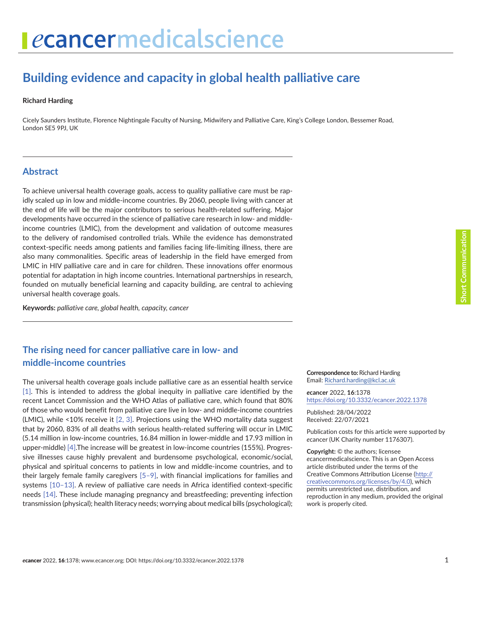# **Building evidence and capacity in global health palliative care**

#### **Richard Harding**

Cicely Saunders Institute, Florence Nightingale Faculty of Nursing, Midwifery and Palliative Care, King's College London, Bessemer Road, London SE5 9PJ, UK

#### **Abstract**

To achieve universal health coverage goals, access to quality palliative care must be rapidly scaled up in low and middle-income countries. By 2060, people living with cancer at the end of life will be the major contributors to serious health-related suffering. Major developments have occurred in the science of palliative care research in low- and middleincome countries (LMIC), from the development and validation of outcome measures to the delivery of randomised controlled trials. While the evidence has demonstrated context-specific needs among patients and families facing life-limiting illness, there are also many commonalities. Specific areas of leadership in the field have emerged from LMIC in HIV palliative care and in care for children. These innovations offer enormous potential for adaptation in high income countries. International partnerships in research, founded on mutually beneficial learning and capacity building, are central to achieving universal health coverage goals.

**Keywords:** *palliative care, global health, capacity, cancer*

### **The rising need for cancer palliative care in low- and middle-income countries**

The universal health coverage goals include palliative care as an essential health service [\[1\].](#page-2-0) This is intended to address the global inequity in palliative care identified by the recent Lancet Commission and the WHO Atlas of palliative care, which found that 80% of those who would benefit from palliative care live in low- and middle-income countries (LMIC), while <10% receive it [\[2, 3\].](#page-2-0) Projections using the WHO mortality data suggest that by 2060, 83% of all deaths with serious health-related suffering will occur in LMIC (5.14 million in low-income countries, 16.84 million in lower-middle and 17.93 million in upper-middle) [\[4\]](#page-2-0).The increase will be greatest in low-income countries (155%). Progressive illnesses cause highly prevalent and burdensome psychological, economic/social, physical and spiritual concerns to patients in low and middle-income countries, and to their largely female family caregivers [\[5–9\]](#page-2-0), with financial implications for families and systems [\[10–13\]](#page-3-0). A review of palliative care needs in Africa identified context-specific needs [\[14\]](#page-3-0). These include managing pregnancy and breastfeeding; preventing infection transmission (physical); health literacy needs; worrying about medical bills (psychological);

**Correspondence to:** Richard Harding Email: [Richard.harding@kcl.ac.uk](mailto:Richard.harding@kcl.ac.uk)

*e***cancer** 2022, **16**:1378 [https://doi.org/10.3332/ecancer.2022.137](https://doi.org/10.3332/ecancer.2022.1378)8

Published: 28/04/2022 Received: 22/07/2021

Publication costs for this article were supported by *e*cancer (UK Charity number 1176307).

**Copyright:** © the authors; licensee *e*cancermedicalscience. This is an Open Access article distributed under the terms of the Creative Commons Attribution License (http:// creativecommons.org/licenses/by/4.0), which permits unrestricted use, distribution, and reproduction in any medium, provided the original work is properly cited.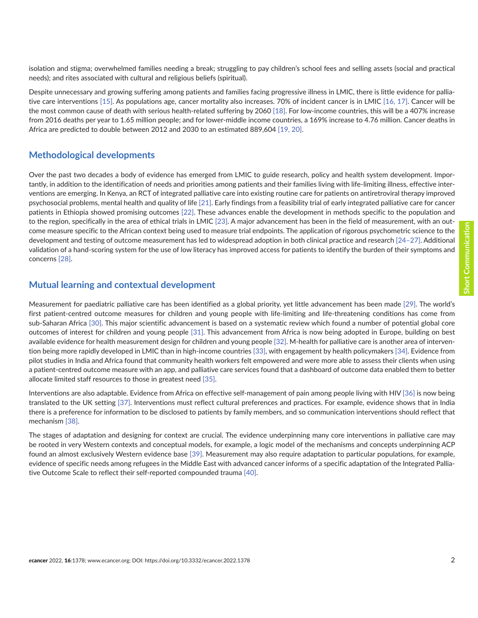Despite unnecessary and growing suffering among patients and families facing progressive illness in LMIC, there is little evidence for palliative care interventions [\[15\]](#page-3-0). As populations age, cancer mortality also increases. 70% of incident cancer is in LMIC [\[16,](#page-3-0) [17\]](#page-3-0). Cancer will be the most common cause of death with serious health-related suffering by 2060 [\[18\].](#page-3-0) For low-income countries, this will be a 407% increase from 2016 deaths per year to 1.65 million people; and for lower-middle income countries, a 169% increase to 4.76 million. Cancer deaths in Africa are predicted to double between 2012 and 2030 to an estimated 889,604 [\[19,](#page-3-0) [20\].](#page-3-0)

#### **Methodological developments**

Over the past two decades a body of evidence has emerged from LMIC to guide research, policy and health system development. Importantly, in addition to the identification of needs and priorities among patients and their families living with life-limiting illness, effective interventions are emerging. In Kenya, an RCT of integrated palliative care into existing routine care for patients on antiretroviral therapy improved psychosocial problems, mental health and quality of life [\[21\].](#page-3-0) Early findings from a feasibility trial of early integrated palliative care for cancer patients in Ethiopia showed promising outcomes [\[22\]](#page-3-0). These advances enable the development in methods specific to the population and to the region, specifically in the area of ethical trials in LMIC [\[23\].](#page-3-0) A major advancement has been in the field of measurement, with an outcome measure specific to the African context being used to measure trial endpoints. The application of rigorous psychometric science to the development and testing of outcome measurement has led to widespread adoption in both clinical practice and research [\[24–](#page-3-0)[27\].](#page-4-0) Additional validation of a hand-scoring system for the use of low literacy has improved access for patients to identify the burden of their symptoms and concerns [\[28\].](#page-4-0)

#### **Mutual learning and contextual development**

Measurement for paediatric palliative care has been identified as a global priority, yet little advancement has been made [\[29\].](#page-4-0) The world's first patient-centred outcome measures for children and young people with life-limiting and life-threatening conditions has come from sub-Saharan Africa [\[30\]](#page-4-0). This major scientific advancement is based on a systematic review which found a number of potential global core outcomes of interest for children and young people [\[31\].](#page-4-0) This advancement from Africa is now being adopted in Europe, building on best available evidence for health measurement design for children and young people [\[32\].](#page-4-0) M-health for palliative care is another area of intervention being more rapidly developed in LMIC than in high-income countries [\[33\]](#page-4-0), with engagement by health policymakers [\[34\]](#page-4-0). Evidence from pilot studies in India and Africa found that community health workers felt empowered and were more able to assess their clients when using a patient-centred outcome measure with an app, and palliative care services found that a dashboard of outcome data enabled them to better allocate limited staff resources to those in greatest need [\[35\].](#page-4-0)

Interventions are also adaptable. Evidence from Africa on effective self-management of pain among people living with HIV [\[36\]](#page-4-0) is now being translated to the UK setting [\[37\].](#page-4-0) Interventions must reflect cultural preferences and practices. For example, evidence shows that in India there is a preference for information to be disclosed to patients by family members, and so communication interventions should reflect that mechanism [\[38\].](#page-4-0)

The stages of adaptation and designing for context are crucial. The evidence underpinning many core interventions in palliative care may be rooted in very Western contexts and conceptual models, for example, a logic model of the mechanisms and concepts underpinning ACP found an almost exclusively Western evidence base [\[39\]](#page-4-0). Measurement may also require adaptation to particular populations, for example, evidence of specific needs among refugees in the Middle East with advanced cancer informs of a specific adaptation of the Integrated Palliative Outcome Scale to reflect their self-reported compounded trauma [\[40\].](#page-4-0)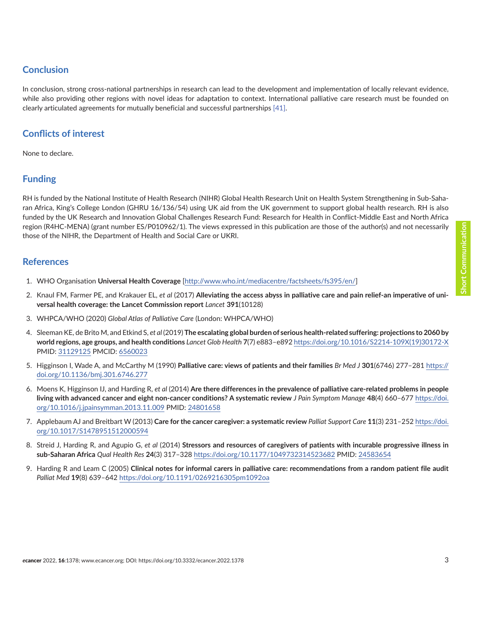# <span id="page-2-0"></span>**Conclusion**

In conclusion, strong cross-national partnerships in research can lead to the development and implementation of locally relevant evidence, while also providing other regions with novel ideas for adaptation to context. International palliative care research must be founded on clearly articulated agreements for mutually beneficial and successful partnerships [\[41\].](#page-4-0)

## **Conflicts of interest**

None to declare.

# **Funding**

RH is funded by the National Institute of Health Research (NIHR) Global Health Research Unit on Health System Strengthening in Sub-Saharan Africa, King's College London (GHRU 16/136/54) using UK aid from the UK government to support global health research. RH is also funded by the UK Research and Innovation Global Challenges Research Fund: Research for Health in Conflict-Middle East and North Africa region (R4HC-MENA) (grant number ES/P010962/1). The views expressed in this publication are those of the author(s) and not necessarily those of the NIHR, the Department of Health and Social Care or UKRI.

#### **References**

- 1. WHO Organisation **Universal Health Coverage** [[http://www.who.int/mediacentre/factsheets/fs395/en/\]](http://www.who.int/mediacentre/factsheets/fs395/en/)
- 2. Knaul FM, Farmer PE, and Krakauer EL, *et al* (2017) **Alleviating the access abyss in palliative care and pain relief-an imperative of universal health coverage: the Lancet Commission report** *Lancet* **391**(10128)
- 3. WHPCA/WHO (2020) *Global Atlas of Palliative Care* (London: WHPCA/WHO)
- 4. Sleeman KE, de Brito M, and Etkind S, *et al* (2019) **The escalating global burden of serious health-related suffering: projections to 2060 by world regions, age groups, and health conditions** *Lancet Glob Health* **7**(7) e883–e892 [https://doi.org/10.1016/S2214-109X\(19\)30172-X](https://doi.org/10.1016/S2214-109X(19)30172-X) PMID: [31129125](http://www.ncbi.nlm.nih.gov/pubmed/31129125) PMCID: [6560023](http://www.ncbi.nlm.nih.gov/pmc/articles/PMC6560023)
- 5. Higginson I, Wade A, and McCarthy M (1990) **Palliative care: views of patients and their families** *Br Med J* **301**(6746) 277–281 [https://](https://doi.org/10.1136/bmj.301.6746.277) [doi.org/10.1136/bmj.301.6746.277](https://doi.org/10.1136/bmj.301.6746.277)
- 6. Moens K, Higginson IJ, and Harding R, *et al* (2014) **Are there differences in the prevalence of palliative care-related problems in people living with advanced cancer and eight non-cancer conditions? A systematic review** *J Pain Symptom Manage* **48**(4) 660–677 [https://doi.](https://doi.org/10.1016/j.jpainsymman.2013.11.009) [org/10.1016/j.jpainsymman.2013.11.009](https://doi.org/10.1016/j.jpainsymman.2013.11.009) PMID: [24801658](http://www.ncbi.nlm.nih.gov/pubmed/24801658)
- 7. Applebaum AJ and Breitbart W (2013) **Care for the cancer caregiver: a systematic review** *Palliat Support Care* **11**(3) 231–252 [https://doi.](https://doi.org/10.1017/S1478951512000594) [org/10.1017/S1478951512000594](https://doi.org/10.1017/S1478951512000594)
- 8. Streid J, Harding R, and Agupio G, *et al* (2014) **Stressors and resources of caregivers of patients with incurable progressive illness in sub-Saharan Africa** *Qual Health Res* **24**(3) 317–328 <https://doi.org/10.1177/1049732314523682> PMID: [24583654](http://www.ncbi.nlm.nih.gov/pubmed/24583654)
- 9. Harding R and Leam C (2005) **Clinical notes for informal carers in palliative care: recommendations from a random patient file audit** *Palliat Med* **19**(8) 639–642 <https://doi.org/10.1191/0269216305pm1092oa>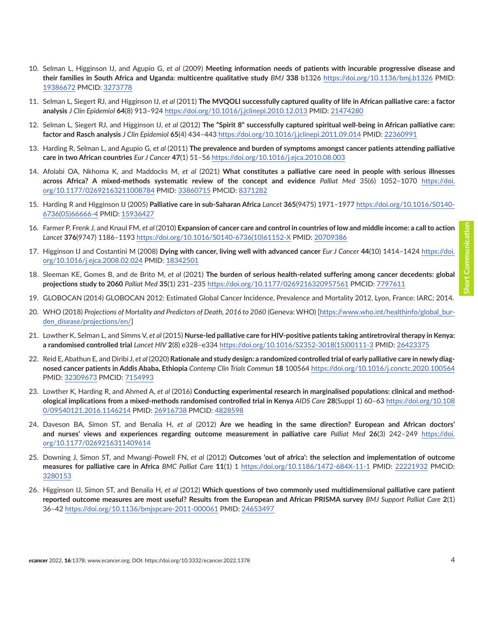- <span id="page-3-0"></span>10. Selman L, Higginson IJ, and Agupio G, *et al* (2009) **Meeting information needs of patients with incurable progressive disease and their families in South Africa and Uganda: multicentre qualitative study** *BMJ* **338** b1326 <https://doi.org/10.1136/bmj.b1326> PMID: [19386672](http://www.ncbi.nlm.nih.gov/pubmed/19386672) PMCID: [3273778](http://www.ncbi.nlm.nih.gov/pmc/articles/PMC3273778)
- 11. Selman L, Siegert RJ, and Higginson IJ, *et al* (2011) **The MVQOLI successfully captured quality of life in African palliative care: a factor analysis** *J Clin Epidemiol* **64**(8) 913–924<https://doi.org/10.1016/j.jclinepi.2010.12.013>PMID: [21474280](http://www.ncbi.nlm.nih.gov/pubmed/21474280)
- 12. Selman L, Siegert RJ, and Higginson IJ, *et al* (2012) **The "Spirit 8" successfully captured spiritual well-being in African palliative care: factor and Rasch analysis** *J Clin Epidemiol* **65**(4) 434–443 <https://doi.org/10.1016/j.jclinepi.2011.09.014>PMID: [22360991](http://www.ncbi.nlm.nih.gov/pubmed/22360991)
- 13. Harding R, Selman L, and Agupio G, *et al* (2011) **The prevalence and burden of symptoms amongst cancer patients attending palliative care in two African countries** *Eur J Cancer* **47**(1) 51–56 <https://doi.org/10.1016/j.ejca.2010.08.003>
- 14. Afolabi OA, Nkhoma K, and Maddocks M, *et al* (2021) **What constitutes a palliative care need in people with serious illnesses across Africa? A mixed-methods systematic review of the concept and evidence** *Palliat Med* 35(6) 1052–1070 [https://doi.](https://doi.org/10.1177/02692163211008784) [org/10.1177/02692163211008784](https://doi.org/10.1177/02692163211008784) PMID: [33860715](http://www.ncbi.nlm.nih.gov/pubmed/33860715) PMCID: [8371282](http://www.ncbi.nlm.nih.gov/pmc/articles/PMC8371282)
- 15. Harding R and Higginson IJ (2005) **Palliative care in sub-Saharan Africa** *Lancet* **365**(9475) 1971–1977 [https://doi.org/10.1016/S0140-](https://doi.org/10.1016/S0140-6736(05)66666-4) [6736\(05\)66666-4](https://doi.org/10.1016/S0140-6736(05)66666-4) PMID: [15936427](http://www.ncbi.nlm.nih.gov/pubmed/15936427)
- 16. Farmer P, Frenk J, and Knaul FM, *et al* (2010) **Expansion of cancer care and control in countries of low and middle income: a call to action** *Lancet* **376**(9747) 1186–1193 [https://doi.org/10.1016/S0140-6736\(10\)61152-X](https://doi.org/10.1016/S0140-6736(10)61152-X) PMID: [20709386](http://www.ncbi.nlm.nih.gov/pubmed/20709386)
- 17. Higginson IJ and Costantini M (2008) **Dying with cancer, living well with advanced cancer** *Eur J Cancer* **44**(10) 1414–1424 [https://doi.](https://doi.org/10.1016/j.ejca.2008.02.024) [org/10.1016/j.ejca.2008.02.024](https://doi.org/10.1016/j.ejca.2008.02.024) PMID: [18342501](http://www.ncbi.nlm.nih.gov/pubmed/18342501)
- 18. Sleeman KE, Gomes B, and de Brito M, *et al* (2021) **The burden of serious health-related suffering among cancer decedents: global projections study to 2060** *Palliat Med* **35**(1) 231–235 <https://doi.org/10.1177/0269216320957561>PMCID: [7797611](http://www.ncbi.nlm.nih.gov/pmc/articles/PMC7797611)
- 19. GLOBOCAN (2014) GLOBOCAN 2012: Estimated Global Cancer Incidence, Prevalence and Mortality 2012. Lyon, France: IARC; 2014.
- 20. WHO (2018) *Projections of Mortality and Predictors of Death, 2016 to 2060* (Geneva: WHO) [[https://www.who.int/healthinfo/global\\_bur](https://www.who.int/healthinfo/global_burden_disease/projections/en/)[den\\_disease/projections/en/](https://www.who.int/healthinfo/global_burden_disease/projections/en/)]
- 21. Lowther K, Selman L, and Simms V, *et al* (2015) **Nurse-led palliative care for HIV-positive patients taking antiretroviral therapy in Kenya: a randomised controlled trial** *Lancet HIV* **2**(8) e328–e334 [https://doi.org/10.1016/S2352-3018\(15\)00111-3](https://doi.org/10.1016/S2352-3018(15)00111-3) PMID: [26423375](http://www.ncbi.nlm.nih.gov/pubmed/26423375)
- 22. Reid E, Abathun E, and Diribi J, *et al* (2020) **Rationale and study design: a randomized controlled trial of early palliative care in newly diagnosed cancer patients in Addis Ababa, Ethiopia** *Contemp Clin Trials Commun* **18** 100564 <https://doi.org/10.1016/j.conctc.2020.100564> PMID: [32309673](http://www.ncbi.nlm.nih.gov/pubmed/32309673) PMCID: [7154993](http://www.ncbi.nlm.nih.gov/pmc/articles/PMC7154993)
- 23. Lowther K, Harding R, and Ahmed A, *et al* (2016) **Conducting experimental research in marginalised populations: clinical and methodological implications from a mixed-methods randomised controlled trial in Kenya** *AIDS Care* **28**(Suppl 1) 60–63 [https://doi.org/10.108](https://doi.org/10.1080/09540121.2016.1146214) [0/09540121.2016.1146214](https://doi.org/10.1080/09540121.2016.1146214) PMID: [26916738](http://www.ncbi.nlm.nih.gov/pubmed/26916738) PMCID: [4828598](http://www.ncbi.nlm.nih.gov/pmc/articles/PMC4828598)
- 24. Daveson BA, Simon ST, and Benalia H, *et al* (2012) **Are we heading in the same direction? European and African doctors' and nurses' views and experiences regarding outcome measurement in palliative care** *Palliat Med* **26**(3) 242–249 [https://doi.](https://doi.org/10.1177/0269216311409614) [org/10.1177/0269216311409614](https://doi.org/10.1177/0269216311409614)
- 25. Downing J, Simon ST, and Mwangi-Powell FN, *et al* (2012) **Outcomes 'out of africa': the selection and implementation of outcome measures for palliative care in Africa** *BMC Palliat Care* **11**(1) 1 <https://doi.org/10.1186/1472-684X-11-1> PMID: [22221932](http://www.ncbi.nlm.nih.gov/pubmed/22221932) PMCID: [3280153](http://www.ncbi.nlm.nih.gov/pmc/articles/PMC3280153)
- 26. Higginson IJ, Simon ST, and Benalia H, *et al* (2012) **Which questions of two commonly used multidimensional palliative care patient reported outcome measures are most useful? Results from the European and African PRISMA survey** *BMJ Support Palliat Care* **2**(1) 36–42<https://doi.org/10.1136/bmjspcare-2011-000061>PMID: [24653497](http://www.ncbi.nlm.nih.gov/pubmed/24653497)